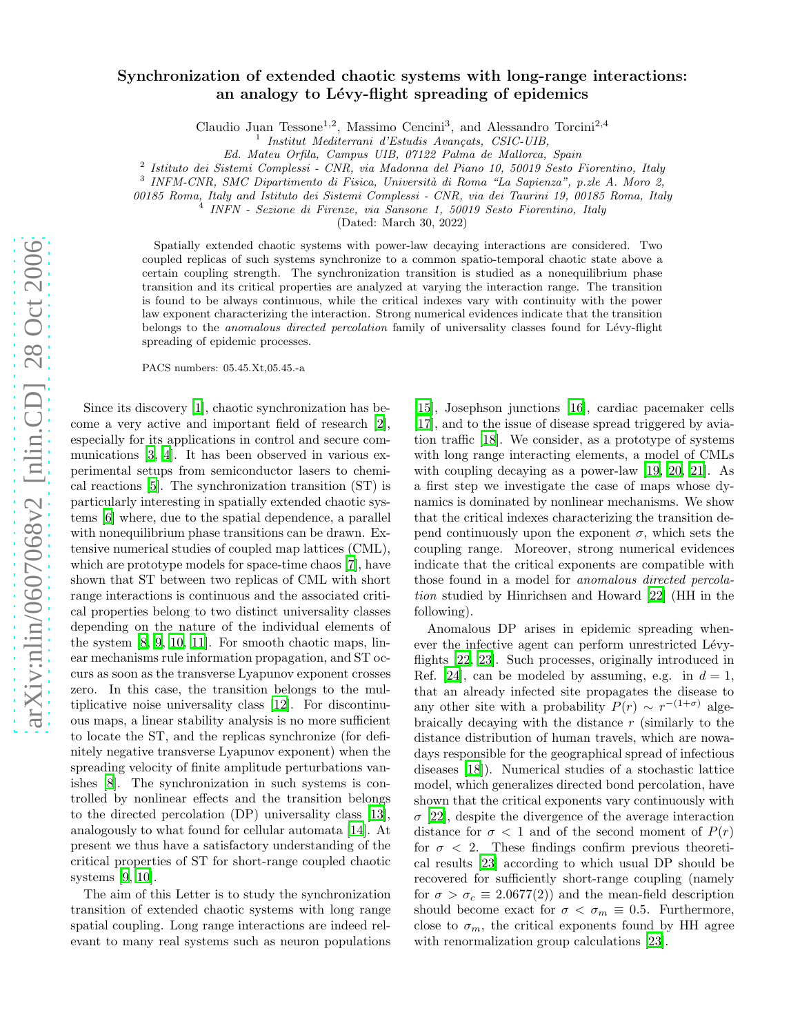## Synchronization of extended chaotic systems with long-range interactions: an analogy to Lévy-flight spreading of epidemics

Claudio Juan Tessone<sup>1,2</sup>, Massimo Cencini<sup>3</sup>, and Alessandro Torcini<sup>2,4</sup>

1 Institut Mediterrani d'Estudis Avançats, CSIC-UIB,

Ed. Mateu Orfila, Campus UIB, 07122 Palma de Mallorca, Spain

<sup>2</sup> Istituto dei Sistemi Complessi - CNR, via Madonna del Piano 10, 50019 Sesto Fiorentino, Italy

<sup>3</sup> INFM-CNR, SMC Dipartimento di Fisica, Università di Roma "La Sapienza", p.zle A. Moro 2,

00185 Roma, Italy and Istituto dei Sistemi Complessi - CNR, via dei Taurini 19, 00185 Roma, Italy  $\rm \acute{4}$ 

INFN - Sezione di Firenze, via Sansone 1, 50019 Sesto Fiorentino, Italy

(Dated: March 30, 2022)

Spatially extended chaotic systems with power-law decaying interactions are considered. Two coupled replicas of such systems synchronize to a common spatio-temporal chaotic state above a certain coupling strength. The synchronization transition is studied as a nonequilibrium phase transition and its critical properties are analyzed at varying the interaction range. The transition is found to be always continuous, while the critical indexes vary with continuity with the power law exponent characterizing the interaction. Strong numerical evidences indicate that the transition belongs to the *anomalous directed percolation* family of universality classes found for Lévy-flight spreading of epidemic processes.

PACS numbers: 05.45.Xt,05.45.-a

Since its discovery [\[1](#page-3-0)], chaotic synchronization has become a very active and important field of research [\[2\]](#page-3-1), especially for its applications in control and secure communications [\[3](#page-3-2), [4](#page-3-3)]. It has been observed in various experimental setups from semiconductor lasers to chemical reactions [\[5\]](#page-3-4). The synchronization transition (ST) is particularly interesting in spatially extended chaotic systems [\[6\]](#page-3-5) where, due to the spatial dependence, a parallel with nonequilibrium phase transitions can be drawn. Extensive numerical studies of coupled map lattices (CML), which are prototype models for space-time chaos [\[7](#page-3-6)], have shown that ST between two replicas of CML with short range interactions is continuous and the associated critical properties belong to two distinct universality classes depending on the nature of the individual elements of the system [\[8,](#page-3-7) [9,](#page-3-8) [10](#page-3-9), [11\]](#page-3-10). For smooth chaotic maps, linear mechanisms rule information propagation, and ST occurs as soon as the transverse Lyapunov exponent crosses zero. In this case, the transition belongs to the multiplicative noise universality class [\[12\]](#page-3-11). For discontinuous maps, a linear stability analysis is no more sufficient to locate the ST, and the replicas synchronize (for definitely negative transverse Lyapunov exponent) when the spreading velocity of finite amplitude perturbations vanishes [\[8\]](#page-3-7). The synchronization in such systems is controlled by nonlinear effects and the transition belongs to the directed percolation (DP) universality class [\[13\]](#page-3-12), analogously to what found for cellular automata [\[14](#page-3-13)]. At present we thus have a satisfactory understanding of the critical properties of ST for short-range coupled chaotic systems [\[9,](#page-3-8) [10\]](#page-3-9).

The aim of this Letter is to study the synchronization transition of extended chaotic systems with long range spatial coupling. Long range interactions are indeed relevant to many real systems such as neuron populations

[\[15\]](#page-3-14), Josephson junctions [\[16\]](#page-3-15), cardiac pacemaker cells [\[17\]](#page-3-16), and to the issue of disease spread triggered by aviation traffic [\[18\]](#page-3-17). We consider, as a prototype of systems with long range interacting elements, a model of CMLs with coupling decaying as a power-law [\[19,](#page-3-18) [20,](#page-3-19) [21\]](#page-3-20). As a first step we investigate the case of maps whose dynamics is dominated by nonlinear mechanisms. We show that the critical indexes characterizing the transition depend continuously upon the exponent  $\sigma$ , which sets the coupling range. Moreover, strong numerical evidences indicate that the critical exponents are compatible with those found in a model for anomalous directed percolation studied by Hinrichsen and Howard [\[22](#page-3-21)] (HH in the following).

Anomalous DP arises in epidemic spreading whenever the infective agent can perform unrestricted Lévyflights [\[22,](#page-3-21) [23\]](#page-3-22). Such processes, originally introduced in Ref. [\[24\]](#page-3-23), can be modeled by assuming, e.g. in  $d = 1$ , that an already infected site propagates the disease to any other site with a probability  $P(r) \sim r^{-(1+\sigma)}$  algebraically decaying with the distance  $r$  (similarly to the distance distribution of human travels, which are nowadays responsible for the geographical spread of infectious diseases [\[18\]](#page-3-17)). Numerical studies of a stochastic lattice model, which generalizes directed bond percolation, have shown that the critical exponents vary continuously with  $\sigma$  [\[22\]](#page-3-21), despite the divergence of the average interaction distance for  $\sigma < 1$  and of the second moment of  $P(r)$ for  $\sigma$  < 2. These findings confirm previous theoretical results [\[23\]](#page-3-22) according to which usual DP should be recovered for sufficiently short-range coupling (namely for  $\sigma > \sigma_c \equiv 2.0677(2)$  and the mean-field description should become exact for  $\sigma < \sigma_m \equiv 0.5$ . Furthermore, close to  $\sigma_m$ , the critical exponents found by HH agree with renormalization group calculations [\[23\]](#page-3-22).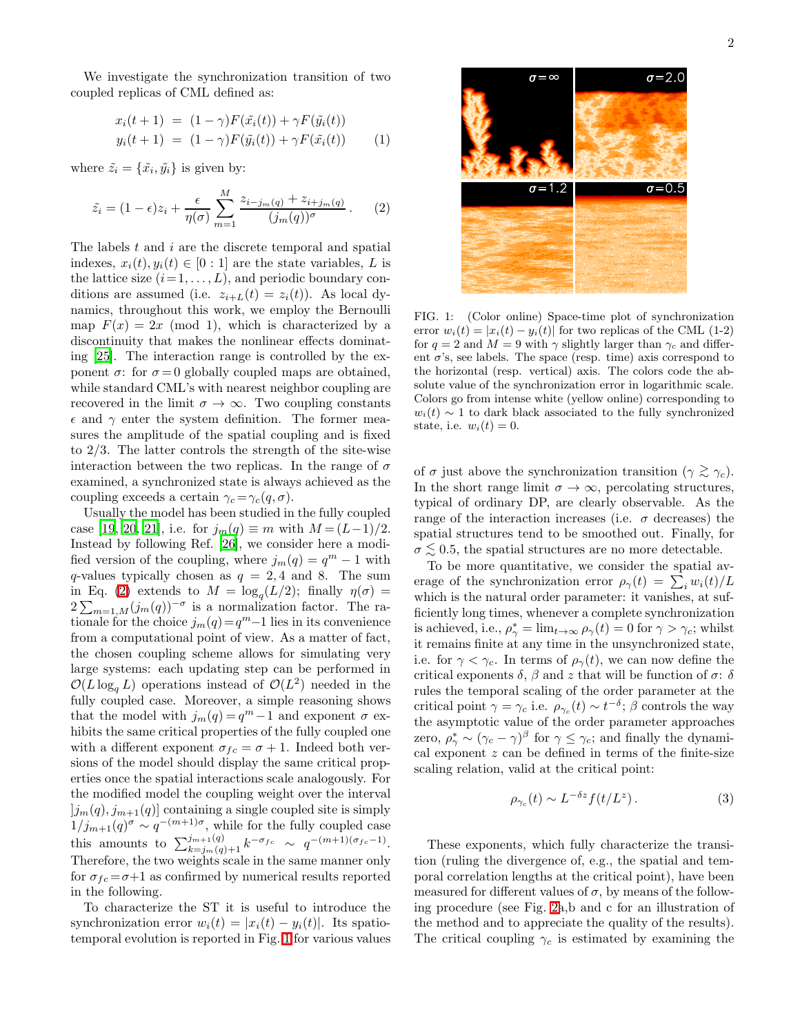<span id="page-1-2"></span>We investigate the synchronization transition of two coupled replicas of CML defined as:

<span id="page-1-0"></span>
$$
x_i(t+1) = (1 - \gamma)F(\tilde{x}_i(t)) + \gamma F(\tilde{y}_i(t))
$$
  

$$
y_i(t+1) = (1 - \gamma)F(\tilde{y}_i(t)) + \gamma F(\tilde{x}_i(t))
$$
 (1)

where  $\tilde{z}_i = {\tilde{x}_i, \tilde{y}_i}$  is given by:

$$
\tilde{z}_i = (1 - \epsilon)z_i + \frac{\epsilon}{\eta(\sigma)} \sum_{m=1}^M \frac{z_{i-j_m(q)} + z_{i+j_m(q)}}{(j_m(q))^\sigma} . \tag{2}
$$

The labels t and i are the discrete temporal and spatial indexes,  $x_i(t), y_i(t) \in [0:1]$  are the state variables, L is the lattice size  $(i=1,\ldots,L)$ , and periodic boundary conditions are assumed (i.e.  $z_{i+L}(t) = z_i(t)$ ). As local dynamics, throughout this work, we employ the Bernoulli map  $F(x) = 2x \pmod{1}$ , which is characterized by a discontinuity that makes the nonlinear effects dominating [\[25](#page-3-24)]. The interaction range is controlled by the exponent  $\sigma$ : for  $\sigma = 0$  globally coupled maps are obtained, while standard CML's with nearest neighbor coupling are recovered in the limit  $\sigma \to \infty$ . Two coupling constants  $\epsilon$  and  $\gamma$  enter the system definition. The former measures the amplitude of the spatial coupling and is fixed to 2/3. The latter controls the strength of the site-wise interaction between the two replicas. In the range of  $\sigma$ examined, a synchronized state is always achieved as the coupling exceeds a certain  $\gamma_c = \gamma_c(q, \sigma)$ .

Usually the model has been studied in the fully coupled case [\[19](#page-3-18), [20](#page-3-19), [21\]](#page-3-20), i.e. for  $j_m(q) \equiv m$  with  $M = (L-1)/2$ . Instead by following Ref. [\[26\]](#page-3-25), we consider here a modified version of the coupling, where  $j_m(q) = q^m - 1$  with q-values typically chosen as  $q = 2, 4$  and 8. The sum in Eq. [\(2\)](#page-1-0) extends to  $M = \log_q(L/2)$ ; finally  $\eta(\sigma) =$  $2\sum_{m=1,M}(j_m(q))^{-\sigma}$  is a normalization factor. The rationale for the choice  $j_m(q) = q^m-1$  lies in its convenience from a computational point of view. As a matter of fact, the chosen coupling scheme allows for simulating very large systems: each updating step can be performed in  $\mathcal{O}(L \log_q L)$  operations instead of  $\mathcal{O}(L^2)$  needed in the fully coupled case. Moreover, a simple reasoning shows that the model with  $j_m(q) = q^m - 1$  and exponent  $\sigma$  exhibits the same critical properties of the fully coupled one with a different exponent  $\sigma_{fc} = \sigma + 1$ . Indeed both versions of the model should display the same critical properties once the spatial interactions scale analogously. For the modified model the coupling weight over the interval  $|j_m(q), j_{m+1}(q)|$  containing a single coupled site is simply  $1/j_{m+1}(q)^\sigma \sim q^{-(m+1)\sigma}$ , while for the fully coupled case this amounts to  $\sum_{k=j_m(q)+1}^{j_{m+1}(q)} k^{-\sigma_{fc}} \sim q^{-(m+1)(\sigma_{fc}-1)}$ . Therefore, the two weights scale in the same manner only for  $\sigma_{fc} = \sigma + 1$  as confirmed by numerical results reported in the following.

To characterize the ST it is useful to introduce the synchronization error  $w_i(t) = |x_i(t) - y_i(t)|$ . Its spatiotemporal evolution is reported in Fig. [1](#page-1-1) for various values



<span id="page-1-1"></span>FIG. 1: (Color online) Space-time plot of synchronization error  $w_i(t) = |x_i(t) - y_i(t)|$  for two replicas of the CML (1-2) for  $q = 2$  and  $M = 9$  with  $\gamma$  slightly larger than  $\gamma_c$  and different  $\sigma$ 's, see labels. The space (resp. time) axis correspond to the horizontal (resp. vertical) axis. The colors code the absolute value of the synchronization error in logarithmic scale. Colors go from intense white (yellow online) corresponding to  $w_i(t) \sim 1$  to dark black associated to the fully synchronized state, i.e.  $w_i(t) = 0$ .

of  $\sigma$  just above the synchronization transition  $(\gamma \gtrsim \gamma_c)$ . In the short range limit  $\sigma \to \infty$ , percolating structures, typical of ordinary DP, are clearly observable. As the range of the interaction increases (i.e.  $\sigma$  decreases) the spatial structures tend to be smoothed out. Finally, for  $\sigma \lesssim 0.5$ , the spatial structures are no more detectable.

To be more quantitative, we consider the spatial average of the synchronization error  $\rho_{\gamma}(t) = \sum_i w_i(t)/L$ which is the natural order parameter: it vanishes, at sufficiently long times, whenever a complete synchronization is achieved, i.e.,  $\rho_{\gamma}^* = \lim_{t \to \infty} \rho_{\gamma}(t) = 0$  for  $\gamma > \gamma_c$ ; whilst it remains finite at any time in the unsynchronized state, i.e. for  $\gamma < \gamma_c$ . In terms of  $\rho_{\gamma}(t)$ , we can now define the critical exponents  $\delta$ ,  $\beta$  and z that will be function of  $\sigma$ :  $\delta$ rules the temporal scaling of the order parameter at the critical point  $\gamma = \gamma_c$  i.e.  $\rho_{\gamma_c}(t) \sim t^{-\delta}$ ;  $\beta$  controls the way the asymptotic value of the order parameter approaches zero,  $\rho_{\gamma}^* \sim (\gamma_c - \gamma)^{\beta}$  for  $\gamma \leq \gamma_c$ ; and finally the dynamical exponent  $z$  can be defined in terms of the finite-size scaling relation, valid at the critical point:

<span id="page-1-3"></span>
$$
\rho_{\gamma_c}(t) \sim L^{-\delta z} f(t/L^z). \tag{3}
$$

These exponents, which fully characterize the transition (ruling the divergence of, e.g., the spatial and temporal correlation lengths at the critical point), have been measured for different values of  $\sigma$ , by means of the following procedure (see Fig. [2a](#page-2-0),b and c for an illustration of the method and to appreciate the quality of the results). The critical coupling  $\gamma_c$  is estimated by examining the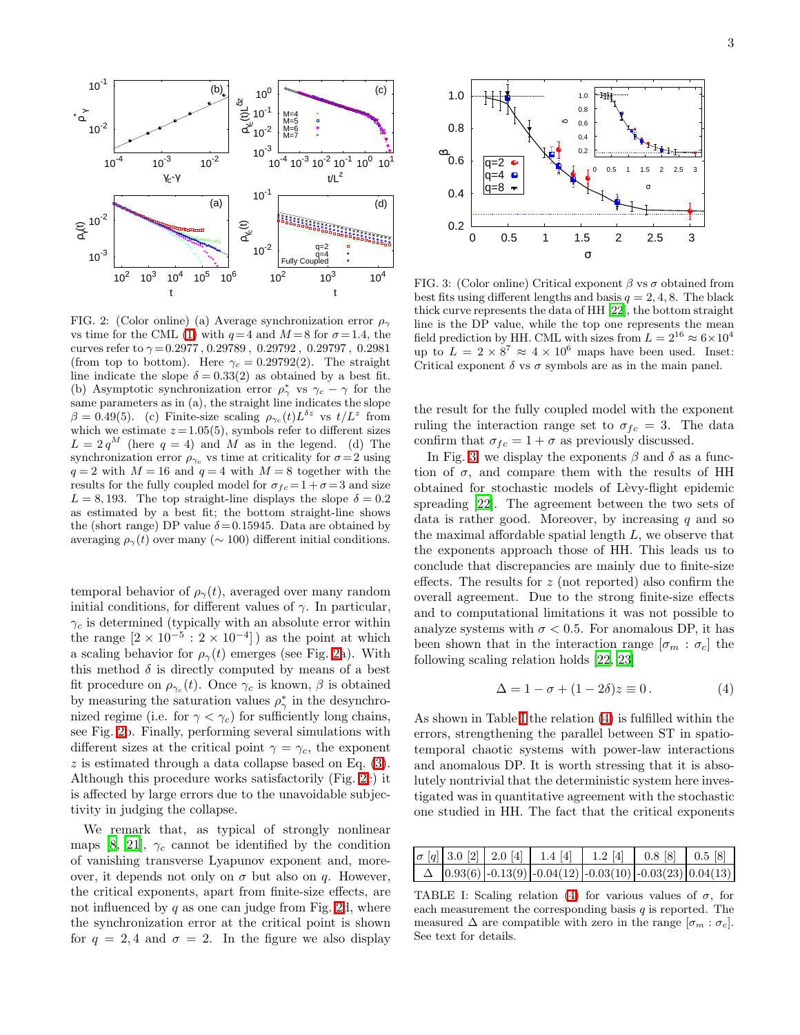

<span id="page-2-0"></span>FIG. 2: (Color online) (a) Average synchronization error  $\rho_{\gamma}$ vs time for the CML [\(1\)](#page-1-2) with  $q=4$  and  $M=8$  for  $\sigma=1.4$ , the curves refer to  $\gamma = 0.2977$ ,  $0.29789$ ,  $0.29792$ ,  $0.29797$ ,  $0.2981$ (from top to bottom). Here  $\gamma_c = 0.29792(2)$ . The straight line indicate the slope  $\delta = 0.33(2)$  as obtained by a best fit. (b) Asymptotic synchronization error  $\rho^*_{\gamma}$  vs  $\gamma_c - \gamma$  for the same parameters as in (a), the straight line indicates the slope  $\beta = 0.49(5)$ . (c) Finite-size scaling  $\rho_{\gamma_c}(t)L^{\delta z}$  vs  $t/L^z$  from which we estimate  $z = 1.05(5)$ , symbols refer to different sizes  $L = 2 q^M$  (here  $q = 4$ ) and M as in the legend. (d) The synchronization error  $\rho_{\gamma_c}$  vs time at criticality for  $\sigma = 2$  using  $q = 2$  with  $M = 16$  and  $q = 4$  with  $M = 8$  together with the results for the fully coupled model for  $\sigma_{fc} = 1 + \sigma = 3$  and size  $L = 8,193$ . The top straight-line displays the slope  $\delta = 0.2$ as estimated by a best fit; the bottom straight-line shows the (short range) DP value  $\delta = 0.15945$ . Data are obtained by averaging  $\rho_{\gamma}(t)$  over many ( $\sim 100$ ) different initial conditions.

temporal behavior of  $\rho_{\gamma}(t)$ , averaged over many random initial conditions, for different values of  $\gamma$ . In particular,  $\gamma_c$  is determined (typically with an absolute error within the range  $[2 \times 10^{-5} : 2 \times 10^{-4}]$  as the point at which a scaling behavior for  $\rho_{\gamma}(t)$  emerges (see Fig. [2a](#page-2-0)). With this method  $\delta$  is directly computed by means of a best fit procedure on  $\rho_{\gamma_c}(t)$ . Once  $\gamma_c$  is known,  $\beta$  is obtained by measuring the saturation values  $\rho^*_{\gamma}$  in the desynchronized regime (i.e. for  $\gamma < \gamma_c$ ) for sufficiently long chains, see Fig. [2b](#page-2-0). Finally, performing several simulations with different sizes at the critical point  $\gamma = \gamma_c$ , the exponent  $z$  is estimated through a data collapse based on Eq.  $(3)$ . Although this procedure works satisfactorily (Fig. [2c](#page-2-0)) it is affected by large errors due to the unavoidable subjectivity in judging the collapse.

We remark that, as typical of strongly nonlinear maps [\[8](#page-3-7), [21\]](#page-3-20),  $\gamma_c$  cannot be identified by the condition of vanishing transverse Lyapunov exponent and, moreover, it depends not only on  $\sigma$  but also on q. However, the critical exponents, apart from finite-size effects, are not influenced by q as one can judge from Fig. [2d](#page-2-0), where the synchronization error at the critical point is shown for  $q = 2, 4$  and  $\sigma = 2$ . In the figure we also display



<span id="page-2-1"></span>FIG. 3: (Color online) Critical exponent  $\beta$  vs  $\sigma$  obtained from best fits using different lengths and basis  $q = 2, 4, 8$ . The black thick curve represents the data of HH [\[22](#page-3-21)], the bottom straight line is the DP value, while the top one represents the mean field prediction by HH. CML with sizes from  $L = 2^{16} \approx 6 \times 10^4$ up to  $L = 2 \times 8^7 \approx 4 \times 10^6$  maps have been used. Inset: Critical exponent  $\delta$  vs  $\sigma$  symbols are as in the main panel.

the result for the fully coupled model with the exponent ruling the interaction range set to  $\sigma_{fc} = 3$ . The data confirm that  $\sigma_{fc} = 1 + \sigma$  as previously discussed.

In Fig. [3,](#page-2-1) we display the exponents  $\beta$  and  $\delta$  as a function of  $\sigma$ , and compare them with the results of HH obtained for stochastic models of Lèvy-flight epidemic spreading [\[22](#page-3-21)]. The agreement between the two sets of data is rather good. Moreover, by increasing  $q$  and so the maximal affordable spatial length  $L$ , we observe that the exponents approach those of HH. This leads us to conclude that discrepancies are mainly due to finite-size effects. The results for z (not reported) also confirm the overall agreement. Due to the strong finite-size effects and to computational limitations it was not possible to analyze systems with  $\sigma$  < 0.5. For anomalous DP, it has been shown that in the interaction range  $[\sigma_m : \sigma_c]$  the following scaling relation holds [\[22](#page-3-21), [23](#page-3-22)]

<span id="page-2-3"></span>
$$
\Delta = 1 - \sigma + (1 - 2\delta)z \equiv 0. \tag{4}
$$

As shown in Table [I](#page-2-2) the relation [\(4\)](#page-2-3) is fulfilled within the errors, strengthening the parallel between ST in spatiotemporal chaotic systems with power-law interactions and anomalous DP. It is worth stressing that it is absolutely nontrivial that the deterministic system here investigated was in quantitative agreement with the stochastic one studied in HH. The fact that the critical exponents

|  | $\sigma$ [q] 3.0 [2] 2.0 [4] 1.4 [4] 1.2 [4] 0.8 [8] 0.5 [8]        |  |  |
|--|---------------------------------------------------------------------|--|--|
|  | $\Delta$   0.93(6) -0.13(9) -0.04(12) -0.03(10) -0.03(23)  0.04(13) |  |  |

<span id="page-2-2"></span>TABLE I: Scaling relation [\(4\)](#page-2-3) for various values of  $\sigma$ , for each measurement the corresponding basis  $q$  is reported. The measured  $\Delta$  are compatible with zero in the range  $[\sigma_m : \sigma_c]$ . See text for details.